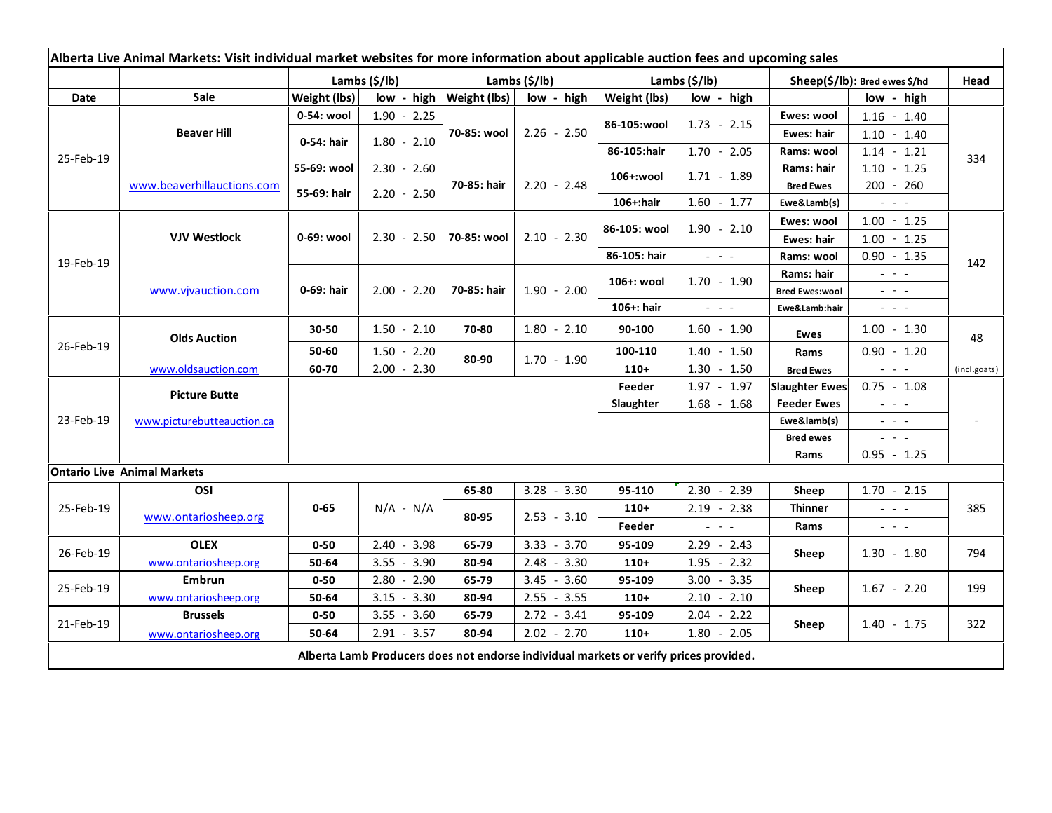| Alberta Live Animal Markets: Visit individual market websites for more information about applicable auction fees and upcoming sales |                            |                           |               |               |               |               |                           |                                                           |                               |                                                                                                                                                                                                                                                                                                                                                                                                                                                |              |
|-------------------------------------------------------------------------------------------------------------------------------------|----------------------------|---------------------------|---------------|---------------|---------------|---------------|---------------------------|-----------------------------------------------------------|-------------------------------|------------------------------------------------------------------------------------------------------------------------------------------------------------------------------------------------------------------------------------------------------------------------------------------------------------------------------------------------------------------------------------------------------------------------------------------------|--------------|
|                                                                                                                                     |                            | Lambs $(\frac{2}{3})$ lb) |               |               | Lambs (\$/lb) |               | Lambs $(\frac{2}{3})$ lb) |                                                           | Sheep(\$/lb): Bred ewes \$/hd |                                                                                                                                                                                                                                                                                                                                                                                                                                                | Head         |
| Date                                                                                                                                | Sale                       | Weight (lbs)              |               | low - high    | Weight (lbs)  | low - high    | Weight (lbs)              | low - high                                                |                               | low - high                                                                                                                                                                                                                                                                                                                                                                                                                                     |              |
| 25-Feb-19                                                                                                                           | <b>Beaver Hill</b>         | 0-54: wool                | $1.90 - 2.25$ |               | 70-85: wool   | $2.26 - 2.50$ | 86-105:wool               | $1.73 - 2.15$                                             | Ewes: wool                    | $1.16 - 1.40$                                                                                                                                                                                                                                                                                                                                                                                                                                  |              |
|                                                                                                                                     |                            | 0-54: hair                | $1.80 - 2.10$ |               |               |               |                           |                                                           | Ewes: hair                    | $1.10 - 1.40$                                                                                                                                                                                                                                                                                                                                                                                                                                  |              |
|                                                                                                                                     |                            |                           |               |               |               |               | 86-105:hair               | $1.70 - 2.05$                                             | Rams: wool                    | $1.14 - 1.21$                                                                                                                                                                                                                                                                                                                                                                                                                                  | 334          |
|                                                                                                                                     | www.beaverhillauctions.com | 55-69: wool               | $2.30 - 2.60$ |               | 70-85: hair   | $2.20 - 2.48$ | 106+:wool                 | $1.71 - 1.89$                                             | Rams: hair                    | $1.10 - 1.25$                                                                                                                                                                                                                                                                                                                                                                                                                                  |              |
|                                                                                                                                     |                            | 55-69: hair               | $2.20 - 2.50$ |               |               |               |                           |                                                           | <b>Bred Ewes</b>              | 200 - 260                                                                                                                                                                                                                                                                                                                                                                                                                                      |              |
|                                                                                                                                     |                            |                           |               |               |               |               | $106 +:$ hair             | $1.60 - 1.77$                                             | Ewe&Lamb(s)                   | $\omega_{\rm{eff}}$ and $\omega_{\rm{eff}}$                                                                                                                                                                                                                                                                                                                                                                                                    |              |
| 19-Feb-19                                                                                                                           | <b>VJV Westlock</b>        | 0-69: wool                | $2.30 - 2.50$ |               | 70-85: wool   | $2.10 - 2.30$ | 86-105: wool              | $1.90 - 2.10$                                             | Ewes: wool                    | $1.00 - 1.25$                                                                                                                                                                                                                                                                                                                                                                                                                                  |              |
|                                                                                                                                     |                            |                           |               |               |               |               |                           |                                                           | Ewes: hair                    | $1.00 - 1.25$                                                                                                                                                                                                                                                                                                                                                                                                                                  |              |
|                                                                                                                                     |                            |                           |               |               |               |               | 86-105: hair              | $\omega_{\rm{eff}}=0.1$                                   | Rams: wool                    | $0.90 - 1.35$                                                                                                                                                                                                                                                                                                                                                                                                                                  | 142          |
|                                                                                                                                     | www.vjvauction.com         | 0-69: hair                | $2.00 - 2.20$ |               | 70-85: hair   | $1.90 - 2.00$ | 106+: wool                | $1.70 - 1.90$                                             | Rams: hair                    | $\omega_{\rm{eff}}$ and $\omega_{\rm{eff}}$                                                                                                                                                                                                                                                                                                                                                                                                    |              |
|                                                                                                                                     |                            |                           |               |               |               |               |                           |                                                           | <b>Bred Ewes:wool</b>         | $\omega_{\rm{eff}}$ and $\omega_{\rm{eff}}$                                                                                                                                                                                                                                                                                                                                                                                                    |              |
|                                                                                                                                     |                            |                           |               |               |               |               | 106+: hair                | $\omega_{\rm{c}}$ , $\omega_{\rm{c}}$ , $\omega_{\rm{c}}$ | Ewe&Lamb:hair                 | $\frac{1}{2} \left( \begin{array}{ccc} 1 & 0 & 0 \\ 0 & 0 & 0 \\ 0 & 0 & 0 \end{array} \right) = 0.$                                                                                                                                                                                                                                                                                                                                           |              |
| 26-Feb-19                                                                                                                           | <b>Olds Auction</b>        | 30-50                     |               | $1.50 - 2.10$ | 70-80         | $1.80 - 2.10$ | 90-100                    | $1.60 - 1.90$                                             | Ewes                          | $1.00 - 1.30$                                                                                                                                                                                                                                                                                                                                                                                                                                  | 48           |
|                                                                                                                                     |                            | 50-60                     |               | $1.50 - 2.20$ | 80-90         | $1.70 - 1.90$ | 100-110                   | $1.40 - 1.50$                                             | Rams                          | $0.90 - 1.20$                                                                                                                                                                                                                                                                                                                                                                                                                                  |              |
|                                                                                                                                     | www.oldsauction.com        | 60-70                     |               | $2.00 - 2.30$ |               |               | $110+$                    | $1.30 - 1.50$                                             | <b>Bred Ewes</b>              | $\omega_{\rm{eff}}$ and $\omega_{\rm{eff}}$                                                                                                                                                                                                                                                                                                                                                                                                    | (incl.goats) |
| 23-Feb-19                                                                                                                           | <b>Picture Butte</b>       |                           |               |               |               |               | Feeder                    | $1.97 - 1.97$                                             | <b>Slaughter Ewes</b>         | $0.75 - 1.08$                                                                                                                                                                                                                                                                                                                                                                                                                                  |              |
|                                                                                                                                     |                            |                           |               |               |               |               | Slaughter                 | $1.68 - 1.68$                                             | <b>Feeder Ewes</b>            | $  -$                                                                                                                                                                                                                                                                                                                                                                                                                                          |              |
|                                                                                                                                     | www.picturebutteauction.ca |                           |               |               |               |               |                           |                                                           | Ewe&lamb(s)                   | $  -$                                                                                                                                                                                                                                                                                                                                                                                                                                          |              |
|                                                                                                                                     |                            |                           |               |               |               |               |                           |                                                           | <b>Bred ewes</b>              | $\frac{1}{2} \left( \frac{1}{2} \right) \frac{1}{2} \left( \frac{1}{2} \right) \frac{1}{2} \left( \frac{1}{2} \right) \frac{1}{2} \left( \frac{1}{2} \right) \frac{1}{2} \left( \frac{1}{2} \right) \frac{1}{2} \left( \frac{1}{2} \right) \frac{1}{2} \left( \frac{1}{2} \right) \frac{1}{2} \left( \frac{1}{2} \right) \frac{1}{2} \left( \frac{1}{2} \right) \frac{1}{2} \left( \frac{1}{2} \right) \frac{1}{2} \left( \frac{1}{2} \right)$ |              |
|                                                                                                                                     |                            |                           |               |               |               |               |                           |                                                           | Rams                          | $0.95 - 1.25$                                                                                                                                                                                                                                                                                                                                                                                                                                  |              |
| <b>Ontario Live Animal Markets</b>                                                                                                  |                            |                           |               |               |               |               |                           |                                                           |                               |                                                                                                                                                                                                                                                                                                                                                                                                                                                |              |
| 25-Feb-19                                                                                                                           | OSI                        |                           |               |               | 65-80         | $3.28 - 3.30$ | 95-110                    | $2.30 - 2.39$                                             | Sheep                         | $1.70 - 2.15$                                                                                                                                                                                                                                                                                                                                                                                                                                  |              |
|                                                                                                                                     | www.ontariosheep.org       | $0 - 65$                  | $N/A - N/A$   |               | 80-95         | $2.53 - 3.10$ | $110+$                    | $2.19 - 2.38$                                             | <b>Thinner</b>                | $  -$<br>$\omega_{\rm{eff}}$ , $\omega_{\rm{eff}}$ , $\omega_{\rm{eff}}$                                                                                                                                                                                                                                                                                                                                                                       | 385          |
|                                                                                                                                     |                            |                           |               |               |               |               | Feeder                    | $\omega_{\rm{eff}}$ and $\omega_{\rm{eff}}$               | Rams                          |                                                                                                                                                                                                                                                                                                                                                                                                                                                |              |
| 26-Feb-19                                                                                                                           | <b>OLEX</b>                | $0 - 50$                  |               | $2.40 - 3.98$ | 65-79         | $3.33 - 3.70$ | 95-109                    | $2.29 - 2.43$                                             | Sheep                         | $1.30 - 1.80$                                                                                                                                                                                                                                                                                                                                                                                                                                  | 794          |
|                                                                                                                                     | www.ontariosheep.org       | 50-64                     |               | $3.55 - 3.90$ | 80-94         | $2.48 - 3.30$ | $110+$                    | $1.95 - 2.32$                                             |                               |                                                                                                                                                                                                                                                                                                                                                                                                                                                |              |
| 25-Feb-19                                                                                                                           | Embrun                     | $0 - 50$                  |               | $2.80 - 2.90$ | 65-79         | $3.45 - 3.60$ | 95-109                    | $3.00 - 3.35$                                             | Sheep                         | $1.67 - 2.20$                                                                                                                                                                                                                                                                                                                                                                                                                                  | 199          |
|                                                                                                                                     | www.ontariosheep.org       | 50-64                     |               | $3.15 - 3.30$ | 80-94         | $2.55 - 3.55$ | $110+$                    | $2.10 - 2.10$                                             |                               |                                                                                                                                                                                                                                                                                                                                                                                                                                                |              |
| 21-Feb-19                                                                                                                           | <b>Brussels</b>            | $0 - 50$                  |               | $3.55 - 3.60$ | 65-79         | $2.72 - 3.41$ | 95-109                    | $2.04 - 2.22$                                             | Sheep                         | $1.40 - 1.75$                                                                                                                                                                                                                                                                                                                                                                                                                                  | 322          |
|                                                                                                                                     | www.ontariosheep.org       | 50-64                     |               | $2.91 - 3.57$ | 80-94         | $2.02 - 2.70$ | $110+$                    | $1.80 - 2.05$                                             |                               |                                                                                                                                                                                                                                                                                                                                                                                                                                                |              |
| Alberta Lamb Producers does not endorse individual markets or verify prices provided.                                               |                            |                           |               |               |               |               |                           |                                                           |                               |                                                                                                                                                                                                                                                                                                                                                                                                                                                |              |